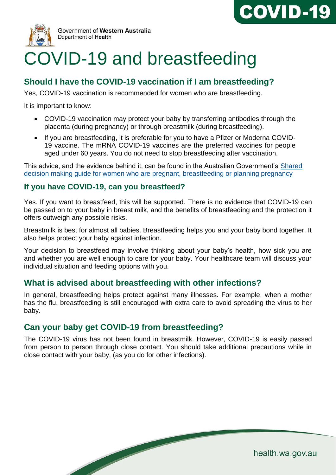



# COVID-19 and breastfeeding

# **Should I have the COVID-19 vaccination if I am breastfeeding?**

Yes, COVID-19 vaccination is recommended for women who are breastfeeding.

It is important to know:

- COVID-19 vaccination may protect your baby by transferring antibodies through the placenta (during pregnancy) or through breastmilk (during breastfeeding).
- If you are breastfeeding, it is preferable for you to have a Pfizer or Moderna COVID-19 vaccine. The mRNA COVID-19 vaccines are the preferred vaccines for people aged under 60 years. You do not need to stop breastfeeding after vaccination.

This advice, and the evidence behind it, can be found in the Australian Government's [Shared](https://www.health.gov.au/resources/publications/covid-19-vaccination-shared-decision-making-guide-for-women-who-are-pregnant-breastfeeding-or-planning-pregnancy)  [decision making guide for women who are pregnant, breastfeeding or planning pregnancy](https://www.health.gov.au/resources/publications/covid-19-vaccination-shared-decision-making-guide-for-women-who-are-pregnant-breastfeeding-or-planning-pregnancy)

#### **If you have COVID-19, can you breastfeed?**

Yes. If you want to breastfeed, this will be supported. There is no evidence that COVID-19 can be passed on to your baby in breast milk, and the benefits of breastfeeding and the protection it offers outweigh any possible risks.

Breastmilk is best for almost all babies. Breastfeeding helps you and your baby bond together. It also helps protect your baby against infection.

Your decision to breastfeed may involve thinking about your baby's health, how sick you are and whether you are well enough to care for your baby. Your healthcare team will discuss your individual situation and feeding options with you.

## **What is advised about breastfeeding with other infections?**

In general, breastfeeding helps protect against many illnesses. For example, when a mother has the flu, breastfeeding is still encouraged with extra care to avoid spreading the virus to her baby.

# **Can your baby get COVID-19 from breastfeeding?**

**South Contract Contract Contract Contract Contract Contract Contract Contract Contract Contract Contract Contract Contract Contract Contract Contract Contract Contract Contract Contract Contract Contract Contract Contract** 

The COVID-19 virus has not been found in breastmilk. However, COVID-19 is easily passed from person to person through close contact. You should take additional precautions while in close contact with your baby, (as you do for other infections).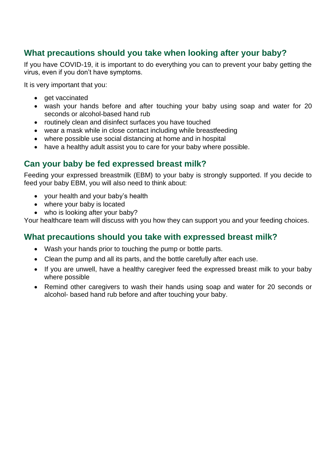# **What precautions should you take when looking after your baby?**

If you have COVID-19, it is important to do everything you can to prevent your baby getting the virus, even if you don't have symptoms.

It is very important that you:

- get vaccinated
- wash your hands before and after touching your baby using soap and water for 20 seconds or alcohol-based hand rub
- routinely clean and disinfect surfaces you have touched
- wear a mask while in close contact including while breastfeeding
- where possible use social distancing at home and in hospital
- have a healthy adult assist you to care for your baby where possible.

# **Can your baby be fed expressed breast milk?**

Feeding your expressed breastmilk (EBM) to your baby is strongly supported. If you decide to feed your baby EBM, you will also need to think about:

- your health and your baby's health
- where your baby is located
- who is looking after your baby?

Your healthcare team will discuss with you how they can support you and your feeding choices.

# **What precautions should you take with expressed breast milk?**

- Wash your hands prior to touching the pump or bottle parts.
- Clean the pump and all its parts, and the bottle carefully after each use.
- If you are unwell, have a healthy caregiver feed the expressed breast milk to your baby where possible
- Remind other caregivers to wash their hands using soap and water for 20 seconds or alcohol- based hand rub before and after touching your baby.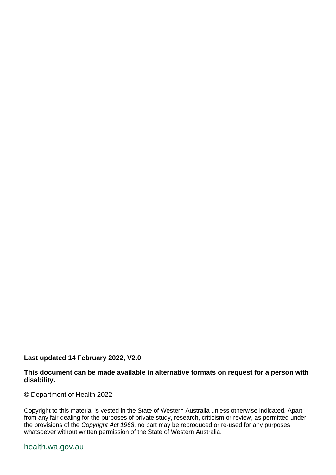#### **Last updated 14 February 2022, V2.0**

#### **This document can be made available in alternative formats on request for a person with disability.**

© Department of Health 2022

Copyright to this material is vested in the State of Western Australia unless otherwise indicated. Apart from any fair dealing for the purposes of private study, research, criticism or review, as permitted under the provisions of the *Copyright Act 1968*, no part may be reproduced or re-used for any purposes whatsoever without written permission of the State of Western Australia.

#### health.wa.gov.au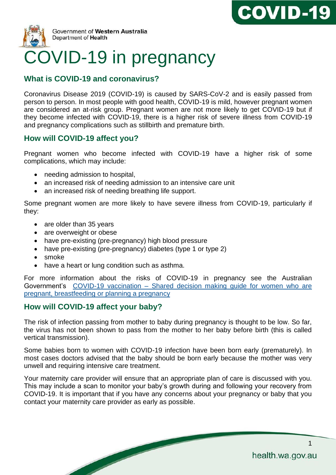



# **What is COVID-19 and coronavirus?**

Coronavirus Disease 2019 (COVID-19) is caused by SARS-CoV-2 and is easily passed from person to person. In most people with good health, COVID-19 is mild, however pregnant women are considered an at-risk group. Pregnant women are not more likely to get COVID-19 but if they become infected with COVID-19, there is a higher risk of severe illness from COVID-19 and pregnancy complications such as stillbirth and premature birth.

# **How will COVID-19 affect you?**

Pregnant women who become infected with COVID-19 have a higher risk of some complications, which may include:

- needing admission to hospital,
- an increased risk of needing admission to an intensive care unit
- an increased risk of needing breathing life support.

Some pregnant women are more likely to have severe illness from COVID-19, particularly if they:

- are older than 35 years
- are overweight or obese
- have pre-existing (pre-pregnancy) high blood pressure
- have pre-existing (pre-pregnancy) diabetes (type 1 or type 2)
- smoke
- have a heart or lung condition such as asthma.

 $\overline{\phantom{a}}$ 

For more information about the risks of COVID-19 in pregnancy see the Australian Government's COVID-19 vaccination – [Shared decision making guide for women who are](https://www.health.gov.au/resources/publications/covid-19-vaccination-shared-decision-making-guide-for-women-who-are-pregnant-breastfeeding-or-planning-pregnancy)  [pregnant, breastfeeding or planning a pregnancy](https://www.health.gov.au/resources/publications/covid-19-vaccination-shared-decision-making-guide-for-women-who-are-pregnant-breastfeeding-or-planning-pregnancy)

## **How will COVID-19 affect your baby?**

The risk of infection passing from mother to baby during pregnancy is thought to be low. So far, the virus has not been shown to pass from the mother to her baby before birth (this is called vertical transmission).

Some babies born to women with COVID-19 infection have been born early (prematurely). In most cases doctors advised that the baby should be born early because the mother was very unwell and requiring intensive care treatment.

Your maternity care provider will ensure that an appropriate plan of care is discussed with you. This may include a scan to monitor your baby's growth during and following your recovery from COVID-19. It is important that if you have any concerns about your pregnancy or baby that you contact your maternity care provider as early as possible.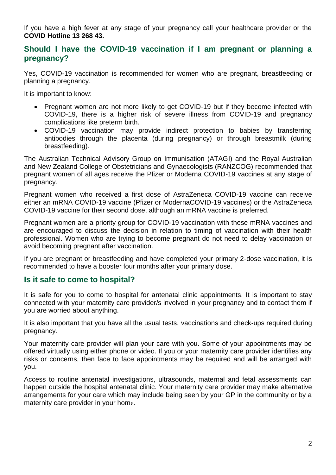If you have a high fever at any stage of your pregnancy call your healthcare provider or the **COVID Hotline 13 268 43.**

#### **Should I have the COVID-19 vaccination if I am pregnant or planning a pregnancy?**

Yes, COVID-19 vaccination is recommended for women who are pregnant, breastfeeding or planning a pregnancy.

It is important to know:

- Pregnant women are not more likely to get COVID-19 but if they become infected with COVID-19, there is a higher risk of severe illness from COVID-19 and pregnancy complications like preterm birth.
- COVID-19 vaccination may provide indirect protection to babies by transferring antibodies through the placenta (during pregnancy) or through breastmilk (during breastfeeding).

The Australian Technical Advisory Group on Immunisation (ATAGI) and the Royal Australian and New Zealand College of Obstetricians and Gynaecologists (RANZCOG) recommended that pregnant women of all ages receive the Pfizer or Moderna COVID-19 vaccines at any stage of pregnancy.

Pregnant women who received a first dose of AstraZeneca COVID-19 vaccine can receive either an mRNA COVID-19 vaccine (Pfizer or ModernaCOVID-19 vaccines) or the AstraZeneca COVID-19 vaccine for their second dose, although an mRNA vaccine is preferred.

Pregnant women are a priority group for COVID-19 vaccination with these mRNA vaccines and are encouraged to discuss the decision in relation to timing of vaccination with their health professional. Women who are trying to become pregnant do not need to delay vaccination or avoid becoming pregnant after vaccination.

If you are pregnant or breastfeeding and have completed your primary 2-dose vaccination, it is recommended to have a booster four months after your primary dose.

#### **Is it safe to come to hospital?**

It is safe for you to come to hospital for antenatal clinic appointments. It is important to stay connected with your maternity care provider/s involved in your pregnancy and to contact them if you are worried about anything.

It is also important that you have all the usual tests, vaccinations and check-ups required during pregnancy.

Your maternity care provider will plan your care with you. Some of your appointments may be offered virtually using either phone or video. If you or your maternity care provider identifies any risks or concerns, then face to face appointments may be required and will be arranged with you.

Access to routine antenatal investigations, ultrasounds, maternal and fetal assessments can happen outside the hospital antenatal clinic. Your maternity care provider may make alternative arrangements for your care which may include being seen by your GP in the community or by a maternity care provider in your home.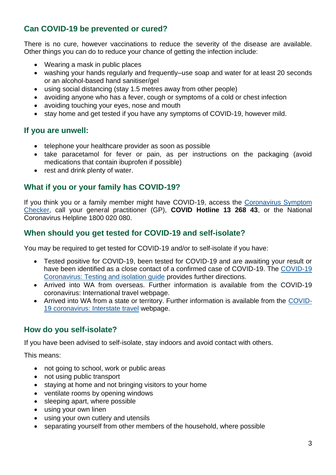# **Can COVID-19 be prevented or cured?**

There is no cure, however vaccinations to reduce the severity of the disease are available. Other things you can do to reduce your chance of getting the infection include:

- Wearing a mask in public places
- washing your hands regularly and frequently–use soap and water for at least 20 seconds or an alcohol-based hand sanitiser/gel
- using social distancing (stay 1.5 metres away from other people)
- avoiding anyone who has a fever, cough or symptoms of a cold or chest infection
- avoiding touching your eyes, nose and mouth
- stay home and get tested if you have any symptoms of COVID-19, however mild.

#### **If you are unwell:**

- telephone your healthcare provider as soon as possible
- take paracetamol for fever or pain, as per instructions on the packaging (avoid medications that contain ibuprofen if possible)
- rest and drink plenty of water.

## **What if you or your family has COVID-19?**

If you think you or a family member might have COVID-19, access the [Coronavirus Symptom](https://www.health.gov.au/resources/apps-and-tools/healthdirect-coronavirus-covid-19-symptom-checker)  [Checker,](https://www.health.gov.au/resources/apps-and-tools/healthdirect-coronavirus-covid-19-symptom-checker) call your general practitioner (GP), **COVID Hotline 13 268 43**, or the National Coronavirus Helpline 1800 020 080.

## **When should you get tested for COVID-19 and self-isolate?**

You may be required to get tested for COVID-19 and/or to self-isolate if you have:

- Tested positive for COVID-19, been tested for COVID-19 and are awaiting your result or have been identified as a close contact of a confirmed case of COVID-19. The [COVID-19](https://www.wa.gov.au/government/document-collections/covid-19-coronavirus-testing-and-isolation-guide#i-am-not-a-close-contact-and-i-have-symptoms)  [Coronavirus: Testing and isolation guide](https://www.wa.gov.au/government/document-collections/covid-19-coronavirus-testing-and-isolation-guide#i-am-not-a-close-contact-and-i-have-symptoms) provides further directions.
- Arrived into WA from overseas. Further information is available from the COVID-19 coronavirus: International travel webpage.
- Arrived into WA from a state or territory. Further information is available from the [COVID-](https://www.wa.gov.au/government/covid-19-coronavirus/covid-19-coronavirus-interstate-travel#entering-wa)[19 coronavirus: Interstate travel](https://www.wa.gov.au/government/covid-19-coronavirus/covid-19-coronavirus-interstate-travel#entering-wa) webpage.

## **How do you self-isolate?**

If you have been advised to self-isolate, stay indoors and avoid contact with others.

This means:

- not going to school, work or public areas
- not using public transport
- staying at home and not bringing visitors to your home
- ventilate rooms by opening windows
- sleeping apart, where possible
- using your own linen
- using your own cutlery and utensils
- separating yourself from other members of the household, where possible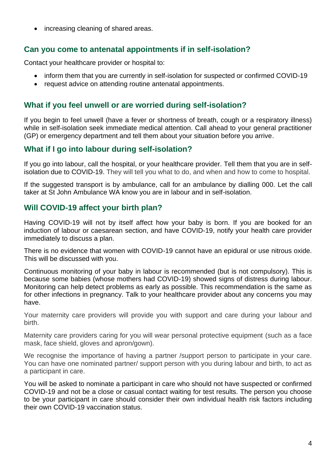• increasing cleaning of shared areas.

## **Can you come to antenatal appointments if in self-isolation?**

Contact your healthcare provider or hospital to:

- inform them that you are currently in self-isolation for suspected or confirmed COVID-19
- request advice on attending routine antenatal appointments.

## **What if you feel unwell or are worried during self-isolation?**

If you begin to feel unwell (have a fever or shortness of breath, cough or a respiratory illness) while in self-isolation seek immediate medical attention. Call ahead to your general practitioner (GP) or emergency department and tell them about your situation before you arrive.

## **What if I go into labour during self-isolation?**

If you go into labour, call the hospital, or your healthcare provider. Tell them that you are in selfisolation due to COVID-19. They will tell you what to do, and when and how to come to hospital.

If the suggested transport is by ambulance, call for an ambulance by dialling 000. Let the call taker at St John Ambulance WA know you are in labour and in self-isolation.

# **Will COVID-19 affect your birth plan?**

Having COVID-19 will not by itself affect how your baby is born. If you are booked for an induction of labour or caesarean section, and have COVID-19, notify your health care provider immediately to discuss a plan.

There is no evidence that women with COVID-19 cannot have an epidural or use nitrous oxide. This will be discussed with you.

Continuous monitoring of your baby in labour is recommended (but is not compulsory). This is because some babies (whose mothers had COVID-19) showed signs of distress during labour. Monitoring can help detect problems as early as possible. This recommendation is the same as for other infections in pregnancy. Talk to your healthcare provider about any concerns you may have.

Your maternity care providers will provide you with support and care during your labour and birth.

Maternity care providers caring for you will wear personal protective equipment (such as a face mask, face shield, gloves and apron/gown).

We recognise the importance of having a partner /support person to participate in your care. You can have one nominated partner/ support person with you during labour and birth, to act as a participant in care.

You will be asked to nominate a participant in care who should not have suspected or confirmed COVID-19 and not be a close or casual contact waiting for test results. The person you choose to be your participant in care should consider their own individual health risk factors including their own COVID-19 vaccination status.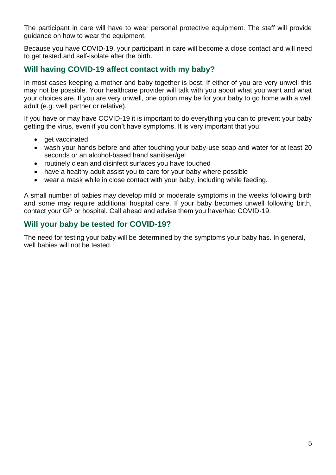The participant in care will have to wear personal protective equipment. The staff will provide guidance on how to wear the equipment.

Because you have COVID-19, your participant in care will become a close contact and will need to get tested and self-isolate after the birth.

#### **Will having COVID-19 affect contact with my baby?**

In most cases keeping a mother and baby together is best. If either of you are very unwell this may not be possible. Your healthcare provider will talk with you about what you want and what your choices are. If you are very unwell, one option may be for your baby to go home with a well adult (e.g. well partner or relative).

If you have or may have COVID-19 it is important to do everything you can to prevent your baby getting the virus, even if you don't have symptoms. It is very important that you:

- get vaccinated
- wash your hands before and after touching your baby-use soap and water for at least 20 seconds or an alcohol-based hand sanitiser/gel
- routinely clean and disinfect surfaces you have touched
- have a healthy adult assist you to care for your baby where possible
- wear a mask while in close contact with your baby, including while feeding.

A small number of babies may develop mild or moderate symptoms in the weeks following birth and some may require additional hospital care. If your baby becomes unwell following birth, contact your GP or hospital. Call ahead and advise them you have/had COVID-19.

#### **Will your baby be tested for COVID-19?**

The need for testing your baby will be determined by the symptoms your baby has. In general, well babies will not be tested.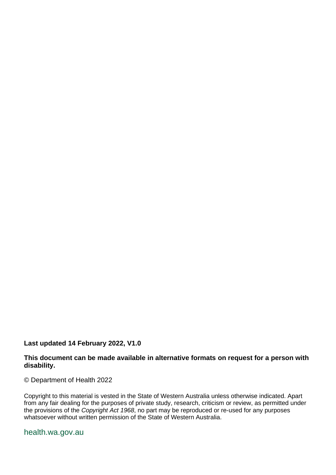#### **Last updated 14 February 2022, V1.0**

#### **This document can be made available in alternative formats on request for a person with disability.**

© Department of Health 2022

Copyright to this material is vested in the State of Western Australia unless otherwise indicated. Apart from any fair dealing for the purposes of private study, research, criticism or review, as permitted under the provisions of the *Copyright Act 1968*, no part may be reproduced or re-used for any purposes whatsoever without written permission of the State of Western Australia.

#### health.wa.gov.au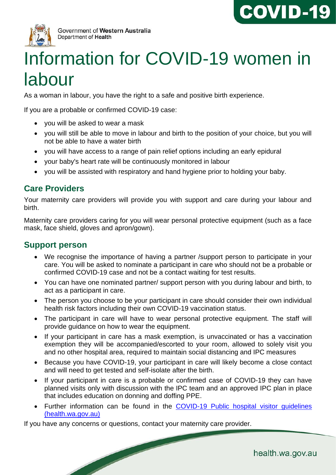



# Information for COVID-19 women in labour

As a woman in labour, you have the right to a safe and positive birth experience.

If you are a probable or confirmed COVID-19 case:

- you will be asked to wear a mask
- you will still be able to move in labour and birth to the position of your choice, but you will not be able to have a water birth
- you will have access to a range of pain relief options including an early epidural
- your baby's heart rate will be continuously monitored in labour
- you will be assisted with respiratory and hand hygiene prior to holding your baby.

#### **Care Providers**

Your maternity care providers will provide you with support and care during your labour and birth.

Maternity care providers caring for you will wear personal protective equipment (such as a face mask, face shield, gloves and apron/gown).

#### **Support person**

- We recognise the importance of having a partner /support person to participate in your care. You will be asked to nominate a participant in care who should not be a probable or confirmed COVID-19 case and not be a contact waiting for test results.
- You can have one nominated partner/ support person with you during labour and birth, to act as a participant in care.
- The person you choose to be your participant in care should consider their own individual health risk factors including their own COVID-19 vaccination status.
- The participant in care will have to wear personal protective equipment. The staff will provide guidance on how to wear the equipment.
- If your participant in care has a mask exemption, is unvaccinated or has a vaccination exemption they will be accompanied/escorted to your room, allowed to solely visit you and no other hospital area, required to maintain social distancing and IPC measures
- Because you have COVID-19, your participant in care will likely become a close contact and will need to get tested and self-isolate after the birth.
- If your participant in care is a probable or confirmed case of COVID-19 they can have planned visits only with discussion with the IPC team and an approved IPC plan in place that includes education on donning and doffing PPE.
- Further information can be found in the [COVID-19 Public hospital visitor guidelines](https://ww2.health.wa.gov.au/~/media/Corp/Documents/Health-for/Infectious-disease/COVID19/COVID19-Public-hospital-visitor-guidelines.pdf)  [\(health.wa.gov.au\)](https://ww2.health.wa.gov.au/~/media/Corp/Documents/Health-for/Infectious-disease/COVID19/COVID19-Public-hospital-visitor-guidelines.pdf)

If you have any concerns or questions, contact your maternity care provider.

**South Contract Contract Contract Contract Contract Contract Contract Contract Contract Contract Contract Contract Contract Contract Contract Contract Contract Contract Contract Contract Contract Contract Contract Contract**